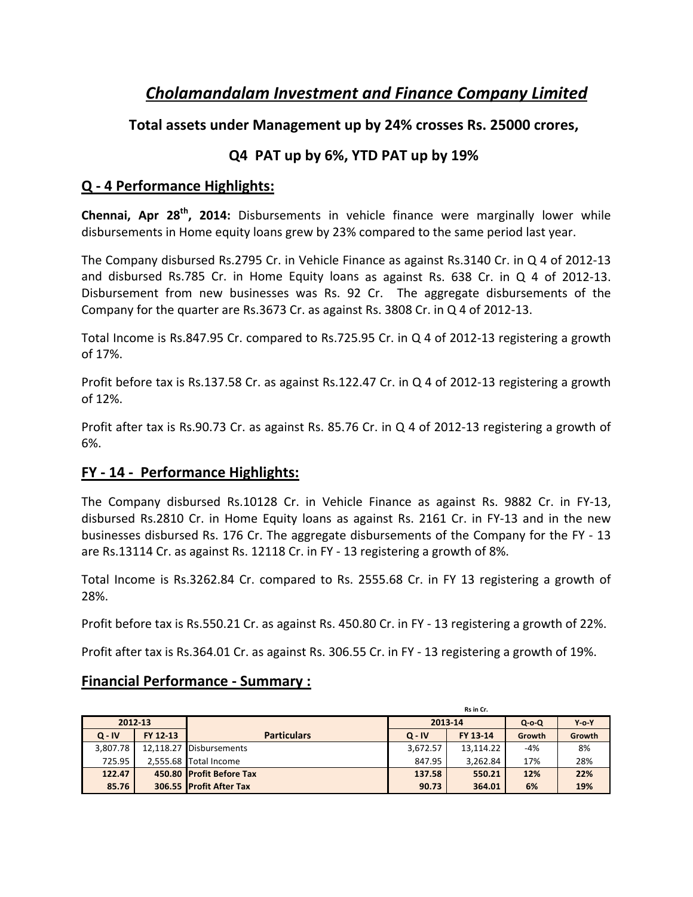# *Cholamandalam Investment and Finance Company Limited*

## **Total assets under Management up by 24% crosses Rs. 25000 crores,**

# **Q4 PAT up by 6%, YTD PAT up by 19%**

## **Q ‐ 4 Performance Highlights:**

**Chennai, Apr 28th, 2014:** Disbursements in vehicle finance were marginally lower while disbursements in Home equity loans grew by 23% compared to the same period last year.

The Company disbursed Rs.2795 Cr. in Vehicle Finance as against Rs.3140 Cr. in Q 4 of 2012‐13 and disbursed Rs.785 Cr. in Home Equity loans as against Rs. 638 Cr. in Q 4 of 2012‐13. Disbursement from new businesses was Rs. 92 Cr. The aggregate disbursements of the Company for the quarter are Rs.3673 Cr. as against Rs. 3808 Cr. in Q 4 of 2012‐13.

Total Income is Rs.847.95 Cr. compared to Rs.725.95 Cr. in Q 4 of 2012‐13 registering a growth of 17%.

Profit before tax is Rs.137.58 Cr. as against Rs.122.47 Cr. in Q 4 of 2012‐13 registering a growth of 12%.

Profit after tax is Rs.90.73 Cr. as against Rs. 85.76 Cr. in Q 4 of 2012‐13 registering a growth of 6%.

### **FY ‐ 14 ‐ Performance Highlights:**

The Company disbursed Rs.10128 Cr. in Vehicle Finance as against Rs. 9882 Cr. in FY‐13, disbursed Rs.2810 Cr. in Home Equity loans as against Rs. 2161 Cr. in FY‐13 and in the new businesses disbursed Rs. 176 Cr. The aggregate disbursements of the Company for the FY ‐ 13 are Rs.13114 Cr. as against Rs. 12118 Cr. in FY ‐ 13 registering a growth of 8%.

Total Income is Rs.3262.84 Cr. compared to Rs. 2555.68 Cr. in FY 13 registering a growth of 28%.

Profit before tax is Rs.550.21 Cr. as against Rs. 450.80 Cr. in FY ‐ 13 registering a growth of 22%.

Profit after tax is Rs.364.01 Cr. as against Rs. 306.55 Cr. in FY ‐ 13 registering a growth of 19%.

#### **Financial Performance ‐ Summary :**

|          |          |                          | Rs in Cr. |           |         |          |  |
|----------|----------|--------------------------|-----------|-----------|---------|----------|--|
| 2012-13  |          |                          | 2013-14   |           | $Q-O-Q$ | $Y$ -o-Y |  |
| $Q - IV$ | FY 12-13 | <b>Particulars</b>       | $Q - IV$  | FY 13-14  | Growth  | Growth   |  |
| 3,807.78 |          | 12,118.27 Disbursements  | 3,672.57  | 13,114.22 | -4%     | 8%       |  |
| 725.95   |          | 2.555.68 Total Income    | 847.95    | 3.262.84  | 17%     | 28%      |  |
| 122.47   |          | 450.80 Profit Before Tax | 137.58    | 550.21    | 12%     | 22%      |  |
| 85.76    |          | 306.55 Profit After Tax  | 90.73     | 364.01    | 6%      | 19%      |  |